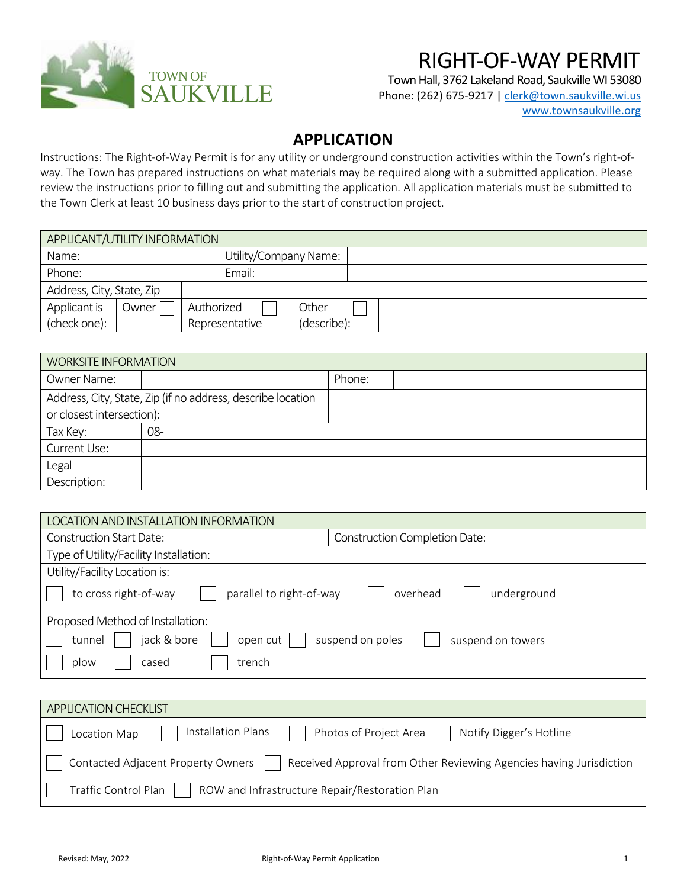

## RIGHT-OF-WAY PERMIT

Town Hall, 3762 Lakeland Road, Saukville WI 53080 Phone: (262) 675-9217 [| clerk@town.saukville.wi.us](mailto:clerk@town.saukville.wi.us) [www.townsaukville.org](http://www.townsaukville.org/)

## **APPLICATION**

Instructions: The Right-of-Way Permit is for any utility or underground construction activities within the Town's right-ofway. The Town has prepared instructions on what materials may be required along with a submitted application. Please review the instructions prior to filling out and submitting the application. All application materials must be submitted to the Town Clerk at least 10 business days prior to the start of construction project.

| APPLICANT/UTILITY INFORMATION |  |       |                       |                |             |  |  |
|-------------------------------|--|-------|-----------------------|----------------|-------------|--|--|
| Name:                         |  |       | Utility/Company Name: |                |             |  |  |
| Phone:                        |  |       |                       | Email:         |             |  |  |
| Address, City, State, Zip     |  |       |                       |                |             |  |  |
| Applicant is                  |  | 0wner | Authorized            |                | Other       |  |  |
| (check one):                  |  |       |                       | Representative | (describe): |  |  |

| <b>WORKSITE INFORMATION</b> |                                                             |        |  |  |  |  |
|-----------------------------|-------------------------------------------------------------|--------|--|--|--|--|
| Owner Name:                 |                                                             | Phone: |  |  |  |  |
|                             | Address, City, State, Zip (if no address, describe location |        |  |  |  |  |
| or closest intersection):   |                                                             |        |  |  |  |  |
| Tax Key:                    | $08-$                                                       |        |  |  |  |  |
| Current Use:                |                                                             |        |  |  |  |  |
| Legal                       |                                                             |        |  |  |  |  |
| Description:                |                                                             |        |  |  |  |  |

| LOCATION AND INSTALLATION INFORMATION                                        |                                                                         |  |  |  |  |
|------------------------------------------------------------------------------|-------------------------------------------------------------------------|--|--|--|--|
| Construction Start Date:                                                     | <b>Construction Completion Date:</b>                                    |  |  |  |  |
| Type of Utility/Facility Installation:                                       |                                                                         |  |  |  |  |
| Utility/Facility Location is:                                                |                                                                         |  |  |  |  |
| to cross right-of-way<br>parallel to right-of-way<br>overhead<br>underground |                                                                         |  |  |  |  |
| Proposed Method of Installation:                                             |                                                                         |  |  |  |  |
| suspend on poles<br>jack & bore<br>open cut<br>tunnel<br>suspend on towers   |                                                                         |  |  |  |  |
| plow<br>cased                                                                | trench                                                                  |  |  |  |  |
|                                                                              |                                                                         |  |  |  |  |
| <b>APPLICATION CHECKLIST</b>                                                 |                                                                         |  |  |  |  |
| Location Map                                                                 | Installation Plans<br>Photos of Project Area<br>Notify Digger's Hotline |  |  |  |  |

| Contacted Adjacent Property Owners | Received Approval from Other Reviewing Agencies having Jurisdiction |  |
|------------------------------------|---------------------------------------------------------------------|--|
|                                    |                                                                     |  |

Traffic Control Plan  $\Box$  ROW and Infrastructure Repair/Restoration Plan